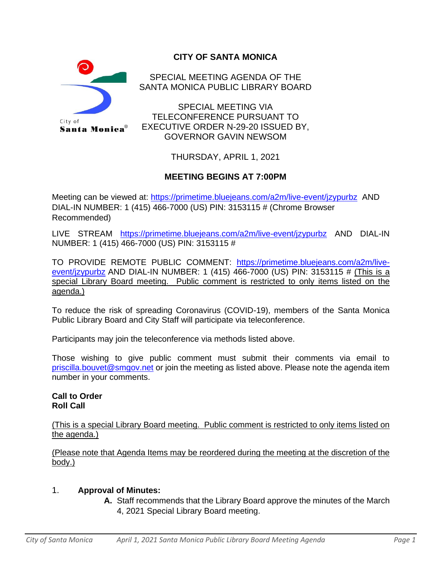

# **CITY OF SANTA MONICA**

SPECIAL MEETING AGENDA OF THE SANTA MONICA PUBLIC LIBRARY BOARD

SPECIAL MEETING VIA TELECONFERENCE PURSUANT TO EXECUTIVE ORDER N-29-20 ISSUED BY, GOVERNOR GAVIN NEWSOM

THURSDAY, APRIL 1, 2021

## **MEETING BEGINS AT 7:00PM**

Meeting can be viewed at:<https://primetime.bluejeans.com/a2m/live-event/jzypurbz> AND DIAL-IN NUMBER: 1 (415) 466-7000 (US) PIN: 3153115 # (Chrome Browser Recommended)

LIVE STREAM <https://primetime.bluejeans.com/a2m/live-event/jzypurbz> AND DIAL-IN NUMBER: 1 (415) 466-7000 (US) PIN: 3153115 #

TO PROVIDE REMOTE PUBLIC COMMENT: [https://primetime.bluejeans.com/a2m/live](https://primetime.bluejeans.com/a2m/live-event/jzypurbz)[event/jzypurbz](https://primetime.bluejeans.com/a2m/live-event/jzypurbz) AND DIAL-IN NUMBER: 1 (415) 466-7000 (US) PIN: 3153115 # (This is a special Library Board meeting. Public comment is restricted to only items listed on the agenda.)

To reduce the risk of spreading Coronavirus (COVID-19), members of the Santa Monica Public Library Board and City Staff will participate via teleconference.

Participants may join the teleconference via methods listed above.

Those wishing to give public comment must submit their comments via email to [priscilla.bouvet@smgov.net](mailto:priscilla.bouvet@smgov.net) or join the meeting as listed above. Please note the agenda item number in your comments.

#### **Call to Order Roll Call**

(This is a special Library Board meeting. Public comment is restricted to only items listed on the agenda.)

(Please note that Agenda Items may be reordered during the meeting at the discretion of the body.)

### 1. **Approval of Minutes:**

**A.** Staff recommends that the Library Board approve the minutes of the March 4, 2021 Special Library Board meeting.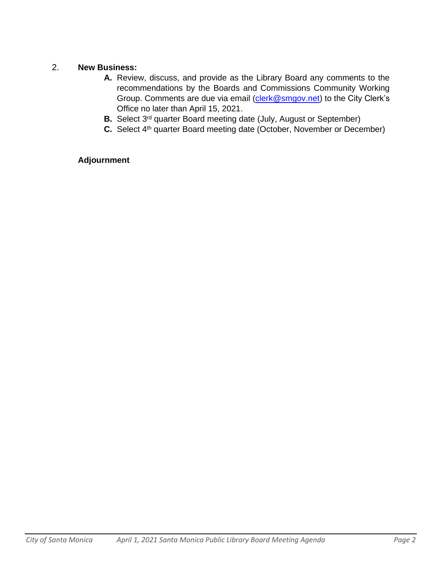### 2. **New Business:**

- **A.** Review, discuss, and provide as the Library Board any comments to the recommendations by the Boards and Commissions Community Working Group. Comments are due via email [\(clerk@smgov.net\)](mailto:clerk@smgov.net) to the City Clerk's Office no later than April 15, 2021.
- **B.** Select 3<sup>rd</sup> quarter Board meeting date (July, August or September)
- **C.** Select 4<sup>th</sup> quarter Board meeting date (October, November or December)

## **Adjournment**